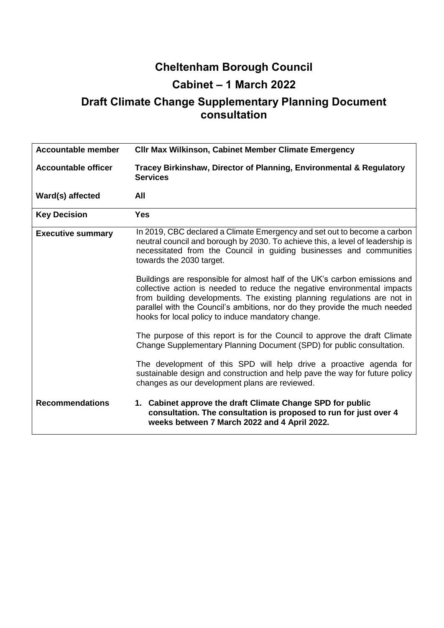# **Cheltenham Borough Council**

# **Cabinet – 1 March 2022**

## **Draft Climate Change Supplementary Planning Document consultation**

| <b>Accountable member</b> | <b>CIIr Max Wilkinson, Cabinet Member Climate Emergency</b>                                                                                                                                                                                                                                                                                                            |  |  |  |  |  |  |  |  |
|---------------------------|------------------------------------------------------------------------------------------------------------------------------------------------------------------------------------------------------------------------------------------------------------------------------------------------------------------------------------------------------------------------|--|--|--|--|--|--|--|--|
| Accountable officer       | Tracey Birkinshaw, Director of Planning, Environmental & Regulatory<br><b>Services</b>                                                                                                                                                                                                                                                                                 |  |  |  |  |  |  |  |  |
| Ward(s) affected          | All                                                                                                                                                                                                                                                                                                                                                                    |  |  |  |  |  |  |  |  |
| <b>Key Decision</b>       | <b>Yes</b>                                                                                                                                                                                                                                                                                                                                                             |  |  |  |  |  |  |  |  |
| <b>Executive summary</b>  | In 2019, CBC declared a Climate Emergency and set out to become a carbon<br>neutral council and borough by 2030. To achieve this, a level of leadership is<br>necessitated from the Council in guiding businesses and communities<br>towards the 2030 target.                                                                                                          |  |  |  |  |  |  |  |  |
|                           | Buildings are responsible for almost half of the UK's carbon emissions and<br>collective action is needed to reduce the negative environmental impacts<br>from building developments. The existing planning regulations are not in<br>parallel with the Council's ambitions, nor do they provide the much needed<br>hooks for local policy to induce mandatory change. |  |  |  |  |  |  |  |  |
|                           | The purpose of this report is for the Council to approve the draft Climate<br>Change Supplementary Planning Document (SPD) for public consultation.                                                                                                                                                                                                                    |  |  |  |  |  |  |  |  |
|                           | The development of this SPD will help drive a proactive agenda for<br>sustainable design and construction and help pave the way for future policy<br>changes as our development plans are reviewed.                                                                                                                                                                    |  |  |  |  |  |  |  |  |
| <b>Recommendations</b>    | 1. Cabinet approve the draft Climate Change SPD for public<br>consultation. The consultation is proposed to run for just over 4<br>weeks between 7 March 2022 and 4 April 2022.                                                                                                                                                                                        |  |  |  |  |  |  |  |  |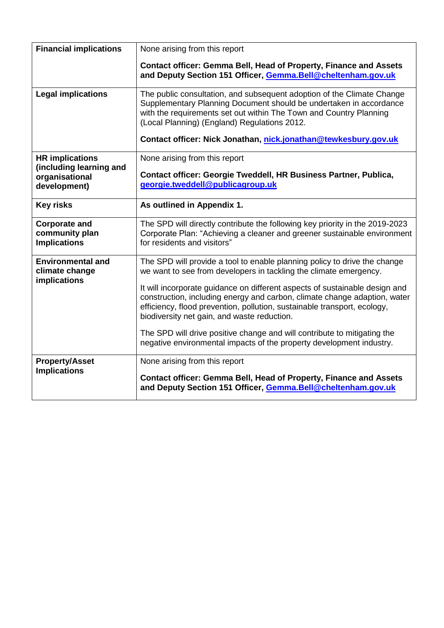| <b>Financial implications</b>                                                       | None arising from this report                                                                                                                                                                                                                                                                                                                                                                                                                                                                                                                                                             |  |  |  |  |  |  |  |
|-------------------------------------------------------------------------------------|-------------------------------------------------------------------------------------------------------------------------------------------------------------------------------------------------------------------------------------------------------------------------------------------------------------------------------------------------------------------------------------------------------------------------------------------------------------------------------------------------------------------------------------------------------------------------------------------|--|--|--|--|--|--|--|
|                                                                                     | <b>Contact officer: Gemma Bell, Head of Property, Finance and Assets</b><br>and Deputy Section 151 Officer, Gemma. Bell@cheltenham.gov.uk                                                                                                                                                                                                                                                                                                                                                                                                                                                 |  |  |  |  |  |  |  |
| <b>Legal implications</b>                                                           | The public consultation, and subsequent adoption of the Climate Change<br>Supplementary Planning Document should be undertaken in accordance<br>with the requirements set out within The Town and Country Planning<br>(Local Planning) (England) Regulations 2012.<br>Contact officer: Nick Jonathan, nick.jonathan@tewkesbury.gov.uk                                                                                                                                                                                                                                                     |  |  |  |  |  |  |  |
| <b>HR</b> implications<br>(including learning and<br>organisational<br>development) | None arising from this report<br>Contact officer: Georgie Tweddell, HR Business Partner, Publica,<br>georgie.tweddell@publicagroup.uk                                                                                                                                                                                                                                                                                                                                                                                                                                                     |  |  |  |  |  |  |  |
| <b>Key risks</b>                                                                    | As outlined in Appendix 1.                                                                                                                                                                                                                                                                                                                                                                                                                                                                                                                                                                |  |  |  |  |  |  |  |
| <b>Corporate and</b><br>community plan<br><b>Implications</b>                       | The SPD will directly contribute the following key priority in the 2019-2023<br>Corporate Plan: "Achieving a cleaner and greener sustainable environment<br>for residents and visitors"                                                                                                                                                                                                                                                                                                                                                                                                   |  |  |  |  |  |  |  |
| <b>Environmental and</b><br>climate change<br>implications                          | The SPD will provide a tool to enable planning policy to drive the change<br>we want to see from developers in tackling the climate emergency.<br>It will incorporate guidance on different aspects of sustainable design and<br>construction, including energy and carbon, climate change adaption, water<br>efficiency, flood prevention, pollution, sustainable transport, ecology,<br>biodiversity net gain, and waste reduction.<br>The SPD will drive positive change and will contribute to mitigating the<br>negative environmental impacts of the property development industry. |  |  |  |  |  |  |  |
| <b>Property/Asset</b><br><b>Implications</b>                                        | None arising from this report<br><b>Contact officer: Gemma Bell, Head of Property, Finance and Assets</b><br>and Deputy Section 151 Officer, Gemma. Bell@cheltenham.gov.uk                                                                                                                                                                                                                                                                                                                                                                                                                |  |  |  |  |  |  |  |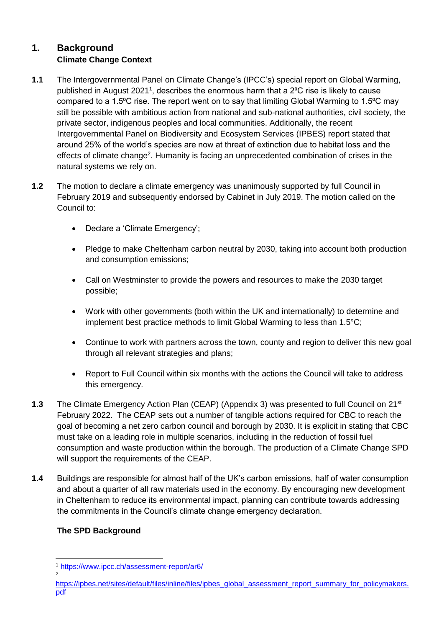### **1. Background Climate Change Context**

- **1.1** The Intergovernmental Panel on Climate Change's (IPCC's) special report on Global Warming, published in August 2021<sup>1</sup>, describes the enormous harm that a 2°C rise is likely to cause compared to a 1.5<sup>o</sup>C rise. The report went on to say that limiting Global Warming to 1.5<sup>o</sup>C may still be possible with ambitious action from national and sub-national authorities, civil society, the private sector, indigenous peoples and local communities. Additionally, the recent Intergovernmental Panel on Biodiversity and Ecosystem Services (IPBES) report stated that around 25% of the world's species are now at threat of extinction due to habitat loss and the effects of climate change<sup>2</sup>. Humanity is facing an unprecedented combination of crises in the natural systems we rely on.
- **1.2** The motion to declare a climate emergency was unanimously supported by full Council in February 2019 and subsequently endorsed by Cabinet in July 2019. The motion called on the Council to:
	- Declare a 'Climate Emergency';
	- Pledge to make Cheltenham carbon neutral by 2030, taking into account both production and consumption emissions;
	- Call on Westminster to provide the powers and resources to make the 2030 target possible;
	- Work with other governments (both within the UK and internationally) to determine and implement best practice methods to limit Global Warming to less than 1.5°C;
	- Continue to work with partners across the town, county and region to deliver this new goal through all relevant strategies and plans;
	- Report to Full Council within six months with the actions the Council will take to address this emergency.
- **1.3** The Climate Emergency Action Plan (CEAP) (Appendix 3) was presented to full Council on 21<sup>st</sup> February 2022. The CEAP sets out a number of tangible actions required for CBC to reach the goal of becoming a net zero carbon council and borough by 2030. It is explicit in stating that CBC must take on a leading role in multiple scenarios, including in the reduction of fossil fuel consumption and waste production within the borough. The production of a Climate Change SPD will support the requirements of the CEAP.
- **1.4** Buildings are responsible for almost half of the UK's carbon emissions, half of water consumption and about a quarter of all raw materials used in the economy. By encouraging new development in Cheltenham to reduce its environmental impact, planning can contribute towards addressing the commitments in the Council's climate change emergency declaration.

#### **The SPD Background**

2

 $\overline{a}$ <sup>1</sup> <https://www.ipcc.ch/assessment-report/ar6/>

[https://ipbes.net/sites/default/files/inline/files/ipbes\\_global\\_assessment\\_report\\_summary\\_for\\_policymakers.](https://ipbes.net/sites/default/files/inline/files/ipbes_global_assessment_report_summary_for_policymakers.pdf) [pdf](https://ipbes.net/sites/default/files/inline/files/ipbes_global_assessment_report_summary_for_policymakers.pdf)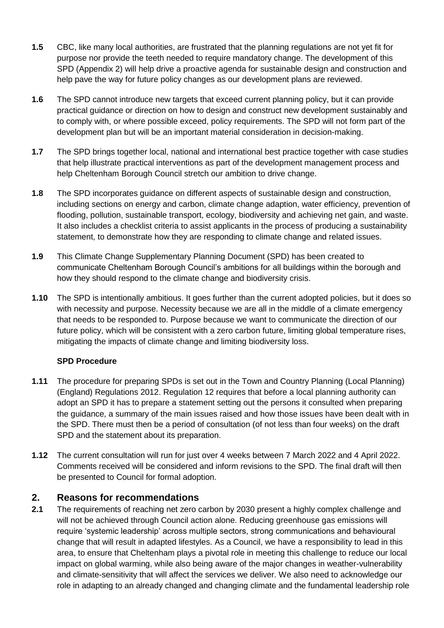- **1.5** CBC, like many local authorities, are frustrated that the planning regulations are not yet fit for purpose nor provide the teeth needed to require mandatory change. The development of this SPD (Appendix 2) will help drive a proactive agenda for sustainable design and construction and help pave the way for future policy changes as our development plans are reviewed.
- **1.6** The SPD cannot introduce new targets that exceed current planning policy, but it can provide practical guidance or direction on how to design and construct new development sustainably and to comply with, or where possible exceed, policy requirements. The SPD will not form part of the development plan but will be an important material consideration in decision-making.
- **1.7** The SPD brings together local, national and international best practice together with case studies that help illustrate practical interventions as part of the development management process and help Cheltenham Borough Council stretch our ambition to drive change.
- **1.8** The SPD incorporates guidance on different aspects of sustainable design and construction, including sections on energy and carbon, climate change adaption, water efficiency, prevention of flooding, pollution, sustainable transport, ecology, biodiversity and achieving net gain, and waste. It also includes a checklist criteria to assist applicants in the process of producing a sustainability statement, to demonstrate how they are responding to climate change and related issues.
- **1.9** This Climate Change Supplementary Planning Document (SPD) has been created to communicate Cheltenham Borough Council's ambitions for all buildings within the borough and how they should respond to the climate change and biodiversity crisis.
- **1.10** The SPD is intentionally ambitious. It goes further than the current adopted policies, but it does so with necessity and purpose. Necessity because we are all in the middle of a climate emergency that needs to be responded to. Purpose because we want to communicate the direction of our future policy, which will be consistent with a zero carbon future, limiting global temperature rises, mitigating the impacts of climate change and limiting biodiversity loss.

#### **SPD Procedure**

- **1.11** The procedure for preparing SPDs is set out in the Town and Country Planning (Local Planning) (England) Regulations 2012. Regulation 12 requires that before a local planning authority can adopt an SPD it has to prepare a statement setting out the persons it consulted when preparing the guidance, a summary of the main issues raised and how those issues have been dealt with in the SPD. There must then be a period of consultation (of not less than four weeks) on the draft SPD and the statement about its preparation.
- **1.12** The current consultation will run for just over 4 weeks between 7 March 2022 and 4 April 2022. Comments received will be considered and inform revisions to the SPD. The final draft will then be presented to Council for formal adoption.

#### **2. Reasons for recommendations**

**2.1** The requirements of reaching net zero carbon by 2030 present a highly complex challenge and will not be achieved through Council action alone. Reducing greenhouse gas emissions will require 'systemic leadership' across multiple sectors, strong communications and behavioural change that will result in adapted lifestyles. As a Council, we have a responsibility to lead in this area, to ensure that Cheltenham plays a pivotal role in meeting this challenge to reduce our local impact on global warming, while also being aware of the major changes in weather-vulnerability and climate-sensitivity that will affect the services we deliver. We also need to acknowledge our role in adapting to an already changed and changing climate and the fundamental leadership role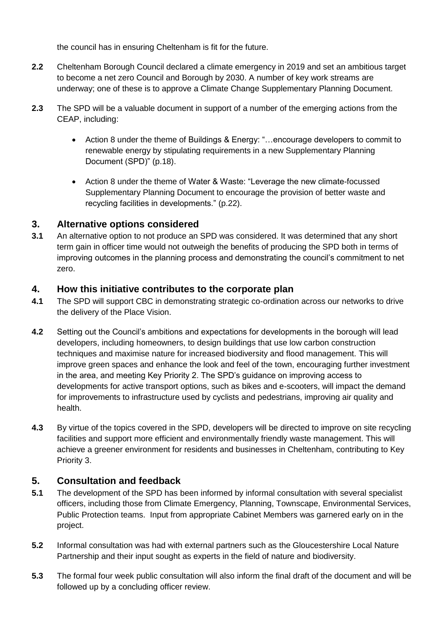the council has in ensuring Cheltenham is fit for the future.

- **2.2** Cheltenham Borough Council declared a climate emergency in 2019 and set an ambitious target to become a net zero Council and Borough by 2030. A number of key work streams are underway; one of these is to approve a Climate Change Supplementary Planning Document.
- **2.3** The SPD will be a valuable document in support of a number of the emerging actions from the CEAP, including:
	- Action 8 under the theme of Buildings & Energy: "…encourage developers to commit to renewable energy by stipulating requirements in a new Supplementary Planning Document (SPD)" (p.18).
	- Action 8 under the theme of Water & Waste: "Leverage the new climate-focussed Supplementary Planning Document to encourage the provision of better waste and recycling facilities in developments." (p.22).

#### **3. Alternative options considered**

**3.1** An alternative option to not produce an SPD was considered. It was determined that any short term gain in officer time would not outweigh the benefits of producing the SPD both in terms of improving outcomes in the planning process and demonstrating the council's commitment to net zero.

#### **4. How this initiative contributes to the corporate plan**

- **4.1** The SPD will support CBC in demonstrating strategic co-ordination across our networks to drive the delivery of the Place Vision.
- **4.2** Setting out the Council's ambitions and expectations for developments in the borough will lead developers, including homeowners, to design buildings that use low carbon construction techniques and maximise nature for increased biodiversity and flood management. This will improve green spaces and enhance the look and feel of the town, encouraging further investment in the area, and meeting Key Priority 2. The SPD's guidance on improving access to developments for active transport options, such as bikes and e-scooters, will impact the demand for improvements to infrastructure used by cyclists and pedestrians, improving air quality and health.
- **4.3** By virtue of the topics covered in the SPD, developers will be directed to improve on site recycling facilities and support more efficient and environmentally friendly waste management. This will achieve a greener environment for residents and businesses in Cheltenham, contributing to Key Priority 3.

#### **5. Consultation and feedback**

- **5.1** The development of the SPD has been informed by informal consultation with several specialist officers, including those from Climate Emergency, Planning, Townscape, Environmental Services, Public Protection teams. Input from appropriate Cabinet Members was garnered early on in the project.
- **5.2** Informal consultation was had with external partners such as the Gloucestershire Local Nature Partnership and their input sought as experts in the field of nature and biodiversity.
- **5.3** The formal four week public consultation will also inform the final draft of the document and will be followed up by a concluding officer review.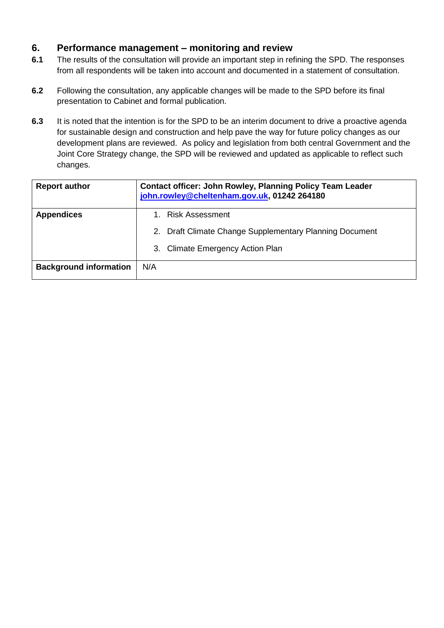### **6. Performance management – monitoring and review**

- **6.1** The results of the consultation will provide an important step in refining the SPD. The responses from all respondents will be taken into account and documented in a statement of consultation.
- **6.2** Following the consultation, any applicable changes will be made to the SPD before its final presentation to Cabinet and formal publication.
- **6.3** It is noted that the intention is for the SPD to be an interim document to drive a proactive agenda for sustainable design and construction and help pave the way for future policy changes as our development plans are reviewed. As policy and legislation from both central Government and the Joint Core Strategy change, the SPD will be reviewed and updated as applicable to reflect such changes.

| <b>Report author</b>          | <b>Contact officer: John Rowley, Planning Policy Team Leader</b><br>john.rowley@cheltenham.gov.uk, 01242 264180 |  |  |  |  |  |  |  |
|-------------------------------|-----------------------------------------------------------------------------------------------------------------|--|--|--|--|--|--|--|
| <b>Appendices</b>             | <b>Risk Assessment</b>                                                                                          |  |  |  |  |  |  |  |
|                               | 2. Draft Climate Change Supplementary Planning Document                                                         |  |  |  |  |  |  |  |
|                               | 3. Climate Emergency Action Plan                                                                                |  |  |  |  |  |  |  |
| <b>Background information</b> | N/A                                                                                                             |  |  |  |  |  |  |  |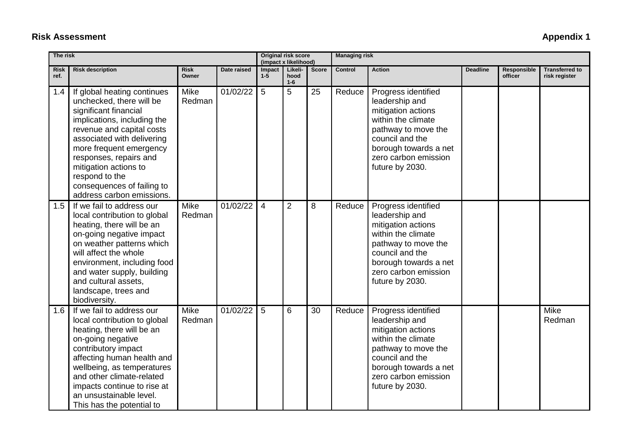## **Risk Assessment** Appendix 1

| The risk            |                                                                                                                                                                                                                                                                                                                    |                      |             | <b>Original risk score</b><br>(impact x likelihood) |                 | <b>Managing risk</b> |                |                                                                                                                                                                                                 |                 |                        |                                        |
|---------------------|--------------------------------------------------------------------------------------------------------------------------------------------------------------------------------------------------------------------------------------------------------------------------------------------------------------------|----------------------|-------------|-----------------------------------------------------|-----------------|----------------------|----------------|-------------------------------------------------------------------------------------------------------------------------------------------------------------------------------------------------|-----------------|------------------------|----------------------------------------|
| <b>Risk</b><br>ref. | <b>Risk description</b>                                                                                                                                                                                                                                                                                            | <b>Risk</b><br>Owner | Date raised | Impact<br>$1-5$                                     | Likeli-<br>hood | <b>Score</b>         | <b>Control</b> | <b>Action</b>                                                                                                                                                                                   | <b>Deadline</b> | Responsible<br>officer | <b>Transferred to</b><br>risk register |
| 1.4                 | If global heating continues<br>unchecked, there will be<br>significant financial<br>implications, including the<br>revenue and capital costs<br>associated with delivering<br>more frequent emergency<br>responses, repairs and                                                                                    | Mike<br>Redman       | 01/02/22    | 5                                                   | $1 - 6$<br>5    | 25                   | Reduce         | Progress identified<br>leadership and<br>mitigation actions<br>within the climate<br>pathway to move the<br>council and the<br>borough towards a net<br>zero carbon emission                    |                 |                        |                                        |
|                     | mitigation actions to<br>respond to the<br>consequences of failing to<br>address carbon emissions.                                                                                                                                                                                                                 |                      |             |                                                     |                 |                      |                | future by 2030.                                                                                                                                                                                 |                 |                        |                                        |
| 1.5                 | If we fail to address our<br>local contribution to global<br>heating, there will be an<br>on-going negative impact<br>on weather patterns which<br>will affect the whole<br>environment, including food<br>and water supply, building<br>and cultural assets,<br>landscape, trees and<br>biodiversity.             | Mike<br>Redman       | 01/02/22    | $\overline{4}$                                      | $\overline{2}$  | 8                    | Reduce         | Progress identified<br>leadership and<br>mitigation actions<br>within the climate<br>pathway to move the<br>council and the<br>borough towards a net<br>zero carbon emission<br>future by 2030. |                 |                        |                                        |
| 1.6                 | If we fail to address our<br>local contribution to global<br>heating, there will be an<br>on-going negative<br>contributory impact<br>affecting human health and<br>wellbeing, as temperatures<br>and other climate-related<br>impacts continue to rise at<br>an unsustainable level.<br>This has the potential to | Mike<br>Redman       | 01/02/22    | 5                                                   | 6               | 30                   | Reduce         | Progress identified<br>leadership and<br>mitigation actions<br>within the climate<br>pathway to move the<br>council and the<br>borough towards a net<br>zero carbon emission<br>future by 2030. |                 |                        | Mike<br>Redman                         |